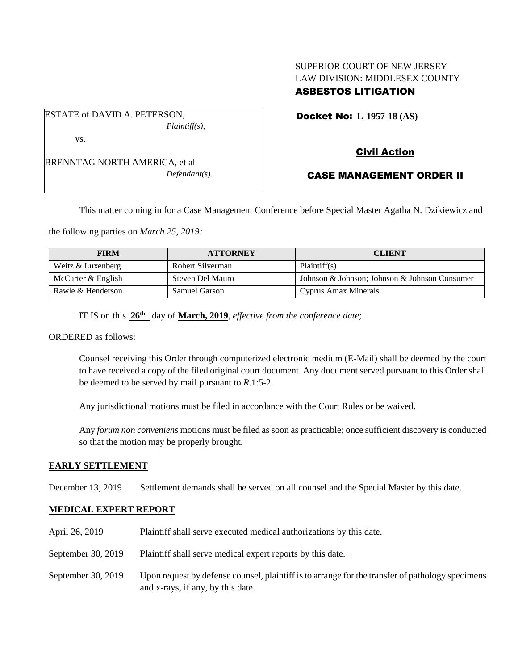## SUPERIOR COURT OF NEW JERSEY LAW DIVISION: MIDDLESEX COUNTY ASBESTOS LITIGATION

Docket No: **L-1957-18 (AS)** 

*Plaintiff(s),*

ESTATE of DAVID A. PETERSON,

vs.

BRENNTAG NORTH AMERICA, et al *Defendant(s).* Civil Action

# CASE MANAGEMENT ORDER II

This matter coming in for a Case Management Conference before Special Master Agatha N. Dzikiewicz and

the following parties on *March 25, 2019:*

| <b>FIRM</b>        | <b>ATTORNEY</b>  | <b>CLIENT</b>                                 |
|--------------------|------------------|-----------------------------------------------|
| Weitz & Luxenberg  | Robert Silverman | Plaintiff(s)                                  |
| McCarter & English | Steven Del Mauro | Johnson & Johnson; Johnson & Johnson Consumer |
| Rawle & Henderson  | Samuel Garson    | Cyprus Amax Minerals                          |

IT IS on this  $26^{\text{th}}$  day of **March, 2019**, *effective from the conference date*;

ORDERED as follows:

Counsel receiving this Order through computerized electronic medium (E-Mail) shall be deemed by the court to have received a copy of the filed original court document. Any document served pursuant to this Order shall be deemed to be served by mail pursuant to *R*.1:5-2.

Any jurisdictional motions must be filed in accordance with the Court Rules or be waived.

Any *forum non conveniens* motions must be filed as soon as practicable; once sufficient discovery is conducted so that the motion may be properly brought.

## **EARLY SETTLEMENT**

December 13, 2019 Settlement demands shall be served on all counsel and the Special Master by this date.

## **MEDICAL EXPERT REPORT**

April 26, 2019 Plaintiff shall serve executed medical authorizations by this date. September 30, 2019 Plaintiff shall serve medical expert reports by this date. September 30, 2019 Upon request by defense counsel, plaintiff is to arrange for the transfer of pathology specimens and x-rays, if any, by this date.